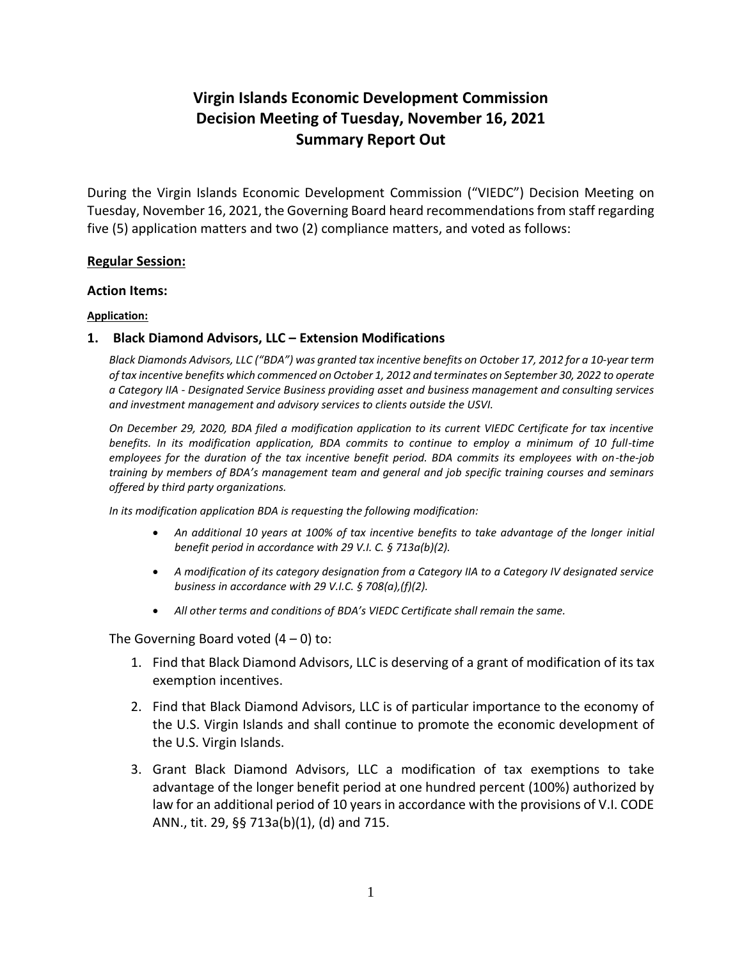# **Virgin Islands Economic Development Commission Decision Meeting of Tuesday, November 16, 2021 Summary Report Out**

During the Virgin Islands Economic Development Commission ("VIEDC") Decision Meeting on Tuesday, November 16, 2021, the Governing Board heard recommendations from staff regarding five (5) application matters and two (2) compliance matters, and voted as follows:

## **Regular Session:**

## **Action Items:**

## **Application:**

# **1. Black Diamond Advisors, LLC – Extension Modifications**

*Black Diamonds Advisors, LLC ("BDA") was granted tax incentive benefits on October 17, 2012 for a 10-year term of tax incentive benefits which commenced on October 1, 2012 and terminates on September 30, 2022 to operate a Category IIA - Designated Service Business providing asset and business management and consulting services and investment management and advisory services to clients outside the USVI.* 

*On December 29, 2020, BDA filed a modification application to its current VIEDC Certificate for tax incentive benefits. In its modification application, BDA commits to continue to employ a minimum of 10 full-time employees for the duration of the tax incentive benefit period. BDA commits its employees with on-the-job training by members of BDA's management team and general and job specific training courses and seminars offered by third party organizations.* 

*In its modification application BDA is requesting the following modification:* 

- *An additional 10 years at 100% of tax incentive benefits to take advantage of the longer initial benefit period in accordance with 29 V.I. C. § 713a(b)(2).*
- *A modification of its category designation from a Category IIA to a Category IV designated service business in accordance with 29 V.I.C. § 708(a),(f)(2).*
- *All other terms and conditions of BDA's VIEDC Certificate shall remain the same.*

- 1. Find that Black Diamond Advisors, LLC is deserving of a grant of modification of its tax exemption incentives.
- 2. Find that Black Diamond Advisors, LLC is of particular importance to the economy of the U.S. Virgin Islands and shall continue to promote the economic development of the U.S. Virgin Islands.
- 3. Grant Black Diamond Advisors, LLC a modification of tax exemptions to take advantage of the longer benefit period at one hundred percent (100%) authorized by law for an additional period of 10 years in accordance with the provisions of V.I. CODE ANN., tit. 29, §§ 713a(b)(1), (d) and 715.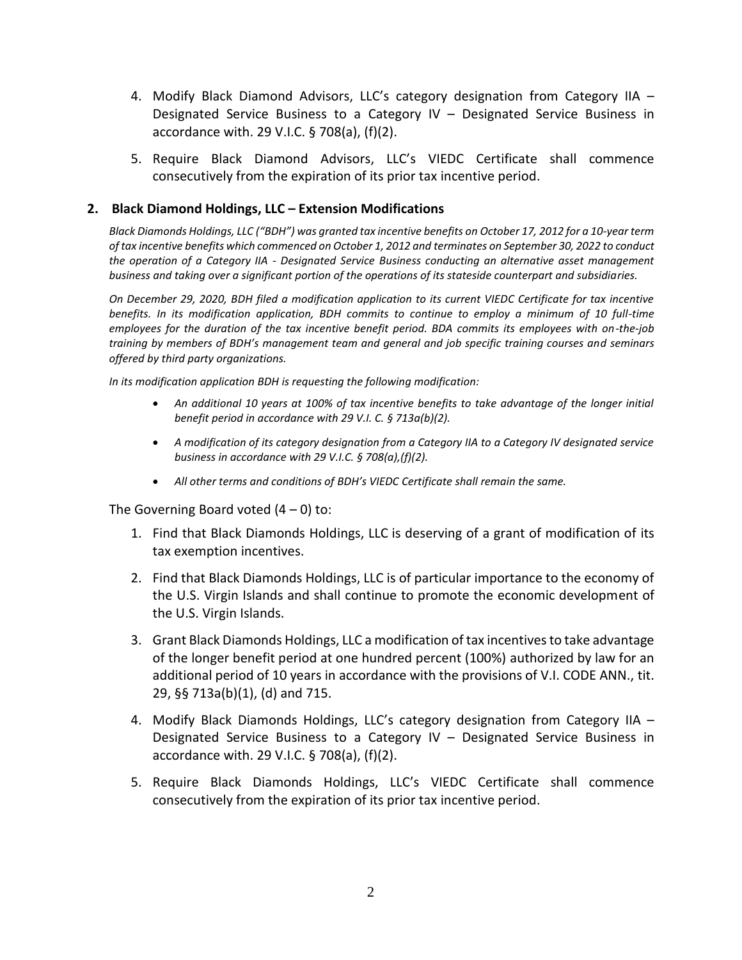- 4. Modify Black Diamond Advisors, LLC's category designation from Category IIA Designated Service Business to a Category IV – Designated Service Business in accordance with. 29 V.I.C. § 708(a), (f)(2).
- 5. Require Black Diamond Advisors, LLC's VIEDC Certificate shall commence consecutively from the expiration of its prior tax incentive period.

## **2. Black Diamond Holdings, LLC – Extension Modifications**

*Black Diamonds Holdings, LLC ("BDH") was granted tax incentive benefits on October 17, 2012 for a 10-year term of tax incentive benefits which commenced on October 1, 2012 and terminates on September 30, 2022 to conduct the operation of a Category IIA - Designated Service Business conducting an alternative asset management business and taking over a significant portion of the operations of its stateside counterpart and subsidiaries.*

*On December 29, 2020, BDH filed a modification application to its current VIEDC Certificate for tax incentive benefits. In its modification application, BDH commits to continue to employ a minimum of 10 full-time employees for the duration of the tax incentive benefit period. BDA commits its employees with on-the-job training by members of BDH's management team and general and job specific training courses and seminars offered by third party organizations.* 

*In its modification application BDH is requesting the following modification:* 

- *An additional 10 years at 100% of tax incentive benefits to take advantage of the longer initial benefit period in accordance with 29 V.I. C. § 713a(b)(2).*
- *A modification of its category designation from a Category IIA to a Category IV designated service business in accordance with 29 V.I.C. § 708(a),(f)(2).*
- **•** All other terms and conditions of BDH<sup>'</sup>s VIEDC Certificate shall remain the same.

- 1. Find that Black Diamonds Holdings, LLC is deserving of a grant of modification of its tax exemption incentives.
- 2. Find that Black Diamonds Holdings, LLC is of particular importance to the economy of the U.S. Virgin Islands and shall continue to promote the economic development of the U.S. Virgin Islands.
- 3. Grant Black Diamonds Holdings, LLC a modification of tax incentives to take advantage of the longer benefit period at one hundred percent (100%) authorized by law for an additional period of 10 years in accordance with the provisions of V.I. CODE ANN., tit. 29, §§ 713a(b)(1), (d) and 715.
- 4. Modify Black Diamonds Holdings, LLC's category designation from Category IIA Designated Service Business to a Category IV – Designated Service Business in accordance with. 29 V.I.C. § 708(a), (f)(2).
- 5. Require Black Diamonds Holdings, LLC's VIEDC Certificate shall commence consecutively from the expiration of its prior tax incentive period.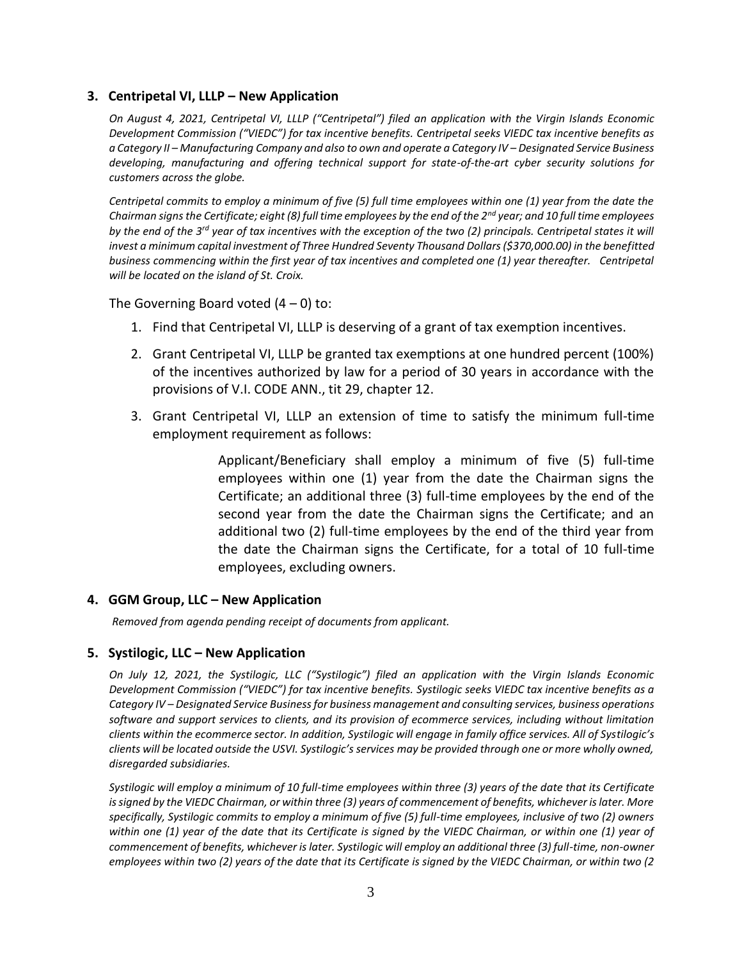## **3. Centripetal VI, LLLP – New Application**

*On August 4, 2021, Centripetal VI, LLLP ("Centripetal") filed an application with the Virgin Islands Economic Development Commission ("VIEDC") for tax incentive benefits. Centripetal seeks VIEDC tax incentive benefits as a Category II – Manufacturing Company and also to own and operate a Category IV – Designated Service Business developing, manufacturing and offering technical support for state-of-the-art cyber security solutions for customers across the globe.* 

*Centripetal commits to employ a minimum of five (5) full time employees within one (1) year from the date the Chairman signs the Certificate; eight (8) full time employees by the end of the 2nd year; and 10 full time employees by the end of the 3rd year of tax incentives with the exception of the two (2) principals. Centripetal states it will invest a minimum capital investment of Three Hundred Seventy Thousand Dollars (\$370,000.00) in the benefitted business commencing within the first year of tax incentives and completed one (1) year thereafter. Centripetal will be located on the island of St. Croix.*

The Governing Board voted  $(4 - 0)$  to:

- 1. Find that Centripetal VI, LLLP is deserving of a grant of tax exemption incentives.
- 2. Grant Centripetal VI, LLLP be granted tax exemptions at one hundred percent (100%) of the incentives authorized by law for a period of 30 years in accordance with the provisions of V.I. CODE ANN., tit 29, chapter 12.
- 3. Grant Centripetal VI, LLLP an extension of time to satisfy the minimum full-time employment requirement as follows:

Applicant/Beneficiary shall employ a minimum of five (5) full-time employees within one (1) year from the date the Chairman signs the Certificate; an additional three (3) full-time employees by the end of the second year from the date the Chairman signs the Certificate; and an additional two (2) full-time employees by the end of the third year from the date the Chairman signs the Certificate, for a total of 10 full-time employees, excluding owners.

# **4. GGM Group, LLC – New Application**

*Removed from agenda pending receipt of documents from applicant.*

## **5. Systilogic, LLC – New Application**

*On July 12, 2021, the Systilogic, LLC ("Systilogic") filed an application with the Virgin Islands Economic Development Commission ("VIEDC") for tax incentive benefits. Systilogic seeks VIEDC tax incentive benefits as a Category IV – Designated Service Business for business management and consulting services, business operations software and support services to clients, and its provision of ecommerce services, including without limitation clients within the ecommerce sector. In addition, Systilogic will engage in family office services. All of Systilogic's clients will be located outside the USVI. Systilogic's services may be provided through one or more wholly owned, disregarded subsidiaries.*

*Systilogic will employ a minimum of 10 full-time employees within three (3) years of the date that its Certificate is signed by the VIEDC Chairman, or within three (3) years of commencement of benefits, whichever is later. More specifically, Systilogic commits to employ a minimum of five (5) full-time employees, inclusive of two (2) owners within one (1) year of the date that its Certificate is signed by the VIEDC Chairman, or within one (1) year of commencement of benefits, whichever is later. Systilogic will employ an additional three (3) full-time, non-owner employees within two (2) years of the date that its Certificate is signed by the VIEDC Chairman, or within two (2*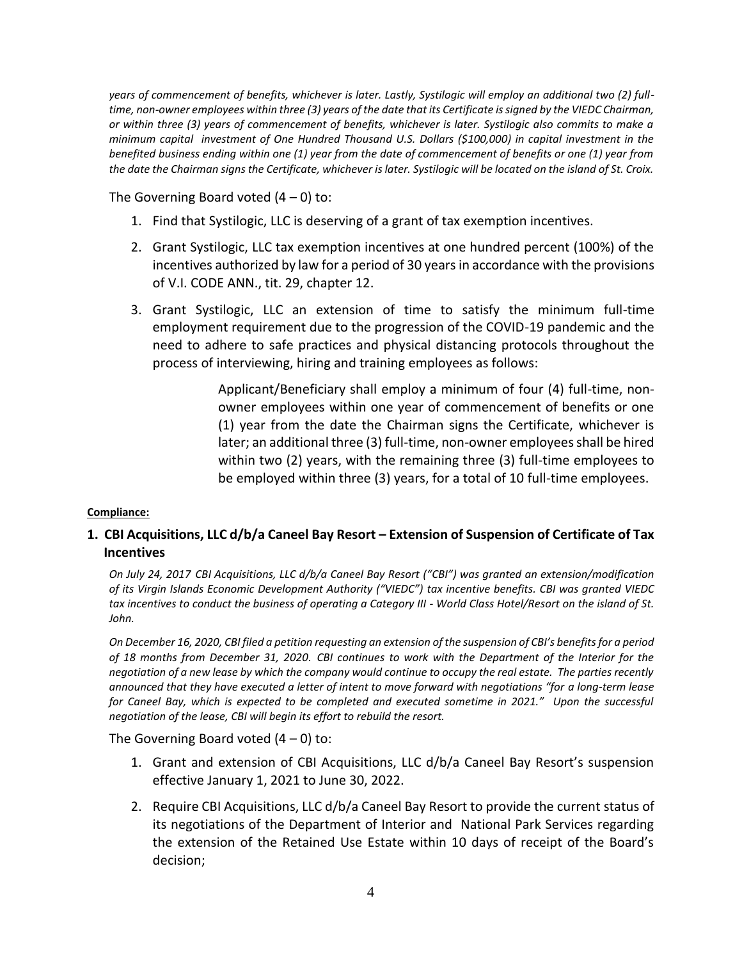*years of commencement of benefits, whichever is later. Lastly, Systilogic will employ an additional two (2) fulltime, non-owner employees within three (3) years of the date that its Certificate is signed by the VIEDC Chairman, or within three (3) years of commencement of benefits, whichever is later. Systilogic also commits to make a minimum capital investment of One Hundred Thousand U.S. Dollars (\$100,000) in capital investment in the benefited business ending within one (1) year from the date of commencement of benefits or one (1) year from the date the Chairman signs the Certificate, whichever is later. Systilogic will be located on the island of St. Croix.*

The Governing Board voted  $(4 - 0)$  to:

- 1. Find that Systilogic, LLC is deserving of a grant of tax exemption incentives.
- 2. Grant Systilogic, LLC tax exemption incentives at one hundred percent (100%) of the incentives authorized by law for a period of 30 years in accordance with the provisions of V.I. CODE ANN., tit. 29, chapter 12.
- 3. Grant Systilogic, LLC an extension of time to satisfy the minimum full-time employment requirement due to the progression of the COVID-19 pandemic and the need to adhere to safe practices and physical distancing protocols throughout the process of interviewing, hiring and training employees as follows:

Applicant/Beneficiary shall employ a minimum of four (4) full-time, nonowner employees within one year of commencement of benefits or one (1) year from the date the Chairman signs the Certificate, whichever is later; an additional three (3) full-time, non-owner employees shall be hired within two (2) years, with the remaining three (3) full-time employees to be employed within three (3) years, for a total of 10 full-time employees.

## **Compliance:**

# **1. CBI Acquisitions, LLC d/b/a Caneel Bay Resort – Extension of Suspension of Certificate of Tax Incentives**

*On July 24, 2017 CBI Acquisitions, LLC d/b/a Caneel Bay Resort ("CBI") was granted an extension/modification of its Virgin Islands Economic Development Authority ("VIEDC") tax incentive benefits. CBI was granted VIEDC tax incentives to conduct the business of operating a Category III - World Class Hotel/Resort on the island of St. John.*

*On December 16, 2020, CBI filed a petition requesting an extension of the suspension of CBI's benefits for a period of 18 months from December 31, 2020. CBI continues to work with the Department of the Interior for the negotiation of a new lease by which the company would continue to occupy the real estate. The parties recently announced that they have executed a letter of intent to move forward with negotiations "for a long-term lease for Caneel Bay, which is expected to be completed and executed sometime in 2021." Upon the successful negotiation of the lease, CBI will begin its effort to rebuild the resort.*

- 1. Grant and extension of CBI Acquisitions, LLC d/b/a Caneel Bay Resort's suspension effective January 1, 2021 to June 30, 2022.
- 2. Require CBI Acquisitions, LLC d/b/a Caneel Bay Resort to provide the current status of its negotiations of the Department of Interior and National Park Services regarding the extension of the Retained Use Estate within 10 days of receipt of the Board's decision;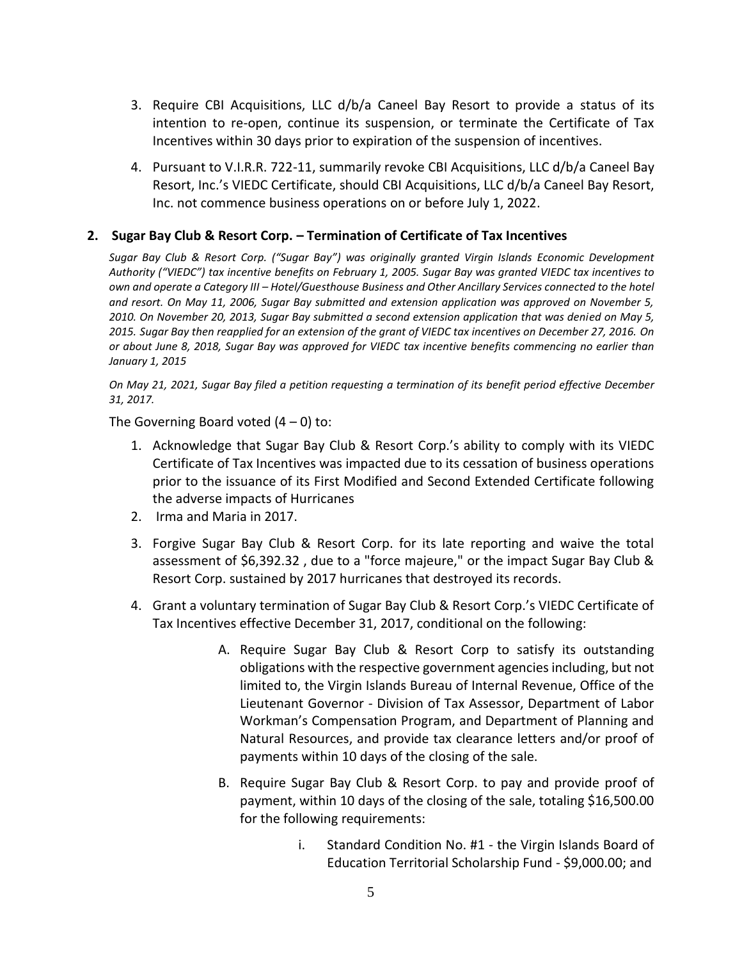- 3. Require CBI Acquisitions, LLC d/b/a Caneel Bay Resort to provide a status of its intention to re-open, continue its suspension, or terminate the Certificate of Tax Incentives within 30 days prior to expiration of the suspension of incentives.
- 4. Pursuant to V.I.R.R. 722-11, summarily revoke CBI Acquisitions, LLC d/b/a Caneel Bay Resort, Inc.'s VIEDC Certificate, should CBI Acquisitions, LLC d/b/a Caneel Bay Resort, Inc. not commence business operations on or before July 1, 2022.

# **2. Sugar Bay Club & Resort Corp. – Termination of Certificate of Tax Incentives**

*Sugar Bay Club & Resort Corp. ("Sugar Bay") was originally granted Virgin Islands Economic Development Authority ("VIEDC") tax incentive benefits on February 1, 2005. Sugar Bay was granted VIEDC tax incentives to own and operate a Category III - Hotel/Guesthouse Business and Other Ancillary Services connected to the hotel and resort. On May 11, 2006, Sugar Bay submitted and extension application was approved on November 5, 2010. On November 20, 2013, Sugar Bay submitted a second extension application that was denied on May 5, 2015. Sugar Bay then reapplied for an extension of the grant of VIEDC tax incentives on December 27, 2016. On or about June 8, 2018, Sugar Bay was approved for VIEDC tax incentive benefits commencing no earlier than January 1, 2015*

*On May 21, 2021, Sugar Bay filed a petition requesting a termination of its benefit period effective December 31, 2017.*

- 1. Acknowledge that Sugar Bay Club & Resort Corp.'s ability to comply with its VIEDC Certificate of Tax Incentives was impacted due to its cessation of business operations prior to the issuance of its First Modified and Second Extended Certificate following the adverse impacts of Hurricanes
- 2. Irma and Maria in 2017.
- 3. Forgive Sugar Bay Club & Resort Corp. for its late reporting and waive the total assessment of \$6,392.32 , due to a "force majeure," or the impact Sugar Bay Club & Resort Corp. sustained by 2017 hurricanes that destroyed its records.
- 4. Grant a voluntary termination of Sugar Bay Club & Resort Corp.'s VIEDC Certificate of Tax Incentives effective December 31, 2017, conditional on the following:
	- A. Require Sugar Bay Club & Resort Corp to satisfy its outstanding obligations with the respective government agencies including, but not limited to, the Virgin Islands Bureau of Internal Revenue, Office of the Lieutenant Governor - Division of Tax Assessor, Department of Labor Workman's Compensation Program, and Department of Planning and Natural Resources, and provide tax clearance letters and/or proof of payments within 10 days of the closing of the sale.
	- B. Require Sugar Bay Club & Resort Corp. to pay and provide proof of payment, within 10 days of the closing of the sale, totaling \$16,500.00 for the following requirements:
		- i. Standard Condition No. #1 the Virgin Islands Board of Education Territorial Scholarship Fund - \$9,000.00; and